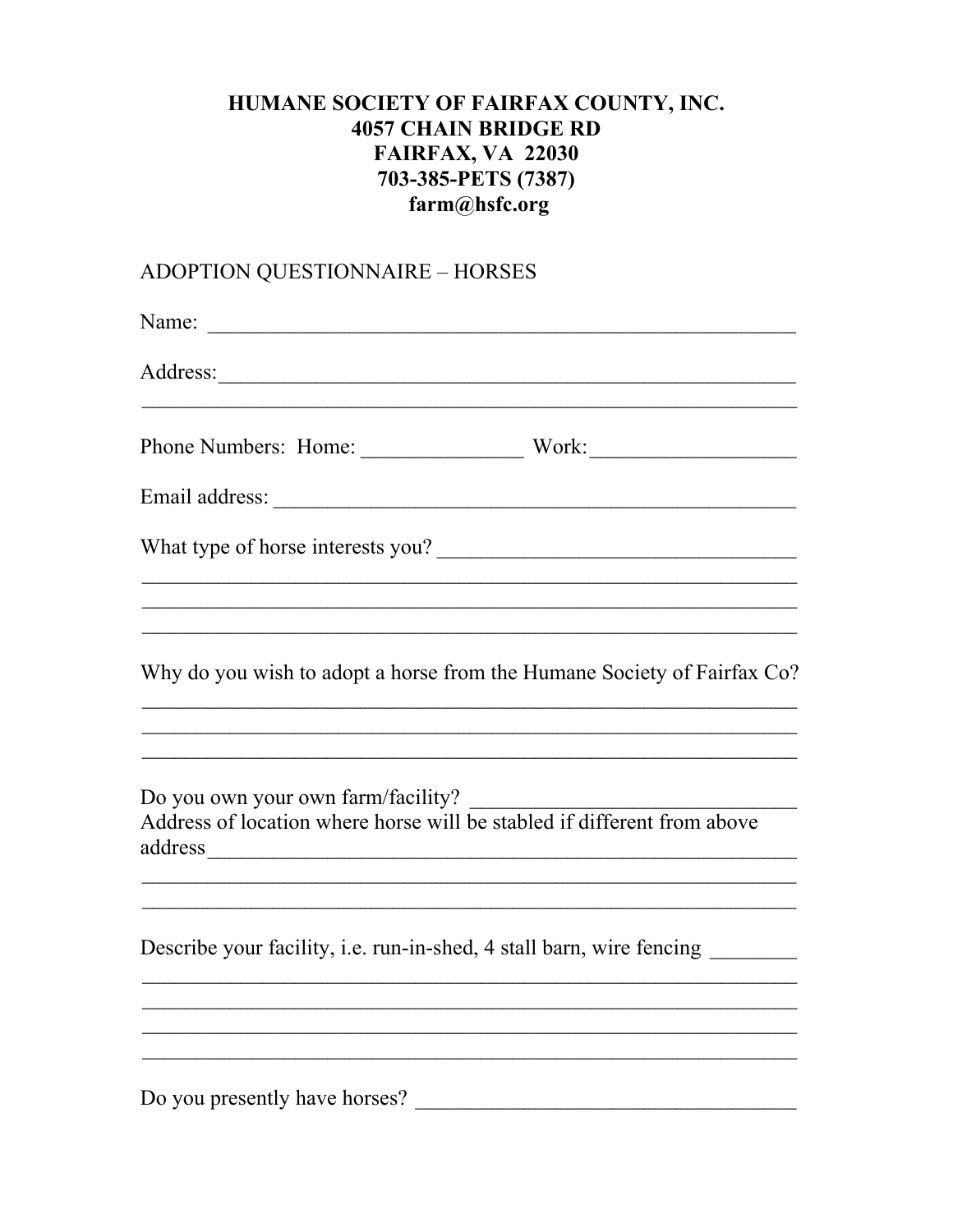## HUMANE SOCIETY OF FAIRFAX COUNTY, INC. **4057 CHAIN BRIDGE RD FAIRFAX, VA 22030** 703-385-PETS (7387) farm@hsfc.org

## ADOPTION QUESTIONNAIRE - HORSES

| Name: $\frac{1}{\sqrt{1-\frac{1}{2}} \cdot \frac{1}{2}}$                                                                                                                                                    |
|-------------------------------------------------------------------------------------------------------------------------------------------------------------------------------------------------------------|
|                                                                                                                                                                                                             |
|                                                                                                                                                                                                             |
|                                                                                                                                                                                                             |
| What type of horse interests you?                                                                                                                                                                           |
| <u> 1989 - Johann John Stoff, deutscher Stoffen und der Stoffen und der Stoffen und der Stoffen und der Stoffen u</u><br><u> 1999 - Johann John Harry Louis (f. 1989)</u>                                   |
| Why do you wish to adopt a horse from the Humane Society of Fairfax Co?                                                                                                                                     |
| <u> 1989 - Johann John Stone, Amerikaansk politiker (d. 1989)</u><br>Address of location where horse will be stabled if different from above<br><u> 1989 - Johann Stoff, amerikansk politiker (d. 1989)</u> |
| Describe your facility, i.e. run-in-shed, 4 stall barn, wire fencing ________                                                                                                                               |
| ,我们也不能在这里的人,我们也不能在这里的人,我们也不能在这里的人,我们也不能在这里的人,我们也不能在这里的人,我们也不能在这里的人,我们也不能在这里的人,我们也                                                                                                                           |
| Do you presently have horses?                                                                                                                                                                               |